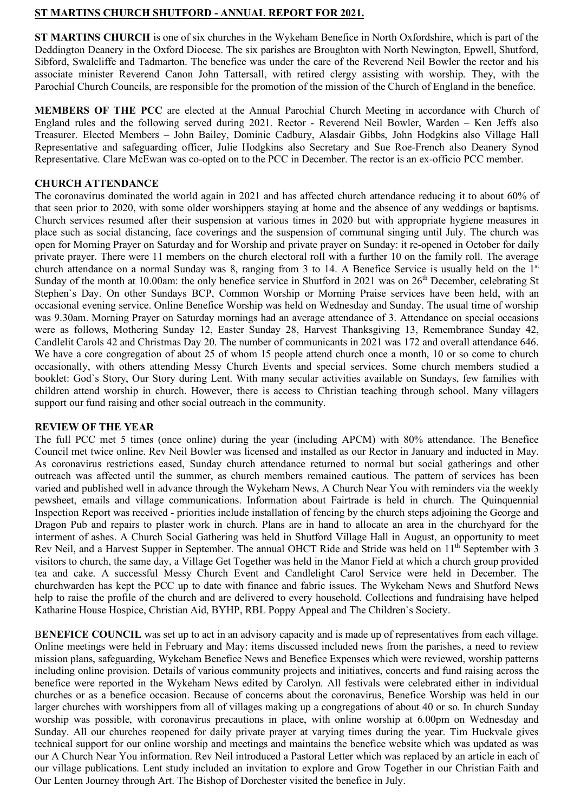# **ST MARTINS CHURCH SHUTFORD - ANNUAL REPORT FOR 2021.**

**ST MARTINS CHURCH** is one of six churches in the Wykeham Benefice in North Oxfordshire, which is part of the Deddington Deanery in the Oxford Diocese. The six parishes are Broughton with North Newington, Epwell, Shutford, Sibford, Swalcliffe and Tadmarton. The benefice was under the care of the Reverend Neil Bowler the rector and his associate minister Reverend Canon John Tattersall, with retired clergy assisting with worship. They, with the Parochial Church Councils, are responsible for the promotion of the mission of the Church of England in the benefice.

**MEMBERS OF THE PCC** are elected at the Annual Parochial Church Meeting in accordance with Church of England rules and the following served during 2021. Rector - Reverend Neil Bowler, Warden – Ken Jeffs also Treasurer. Elected Members – John Bailey, Dominic Cadbury, Alasdair Gibbs, John Hodgkins also Village Hall Representative and safeguarding officer, Julie Hodgkins also Secretary and Sue Roe-French also Deanery Synod Representative. Clare McEwan was co-opted on to the PCC in December. The rector is an ex-officio PCC member.

# **CHURCH ATTENDANCE**

The coronavirus dominated the world again in 2021 and has affected church attendance reducing it to about 60% of that seen prior to 2020, with some older worshippers staying at home and the absence of any weddings or baptisms. Church services resumed after their suspension at various times in 2020 but with appropriate hygiene measures in place such as social distancing, face coverings and the suspension of communal singing until July. The church was open for Morning Prayer on Saturday and for Worship and private prayer on Sunday: it re-opened in October for daily private prayer. There were 11 members on the church electoral roll with a further 10 on the family roll. The average church attendance on a normal Sunday was 8, ranging from 3 to 14. A Benefice Service is usually held on the 1<sup>st</sup> Sunday of the month at 10.00am: the only benefice service in Shutford in 2021 was on 26<sup>th</sup> December, celebrating St Stephen`s Day. On other Sundays BCP, Common Worship or Morning Praise services have been held, with an occasional evening service. Online Benefice Worship was held on Wednesday and Sunday. The usual time of worship was 9.30am. Morning Prayer on Saturday mornings had an average attendance of 3. Attendance on special occasions were as follows, Mothering Sunday 12, Easter Sunday 28, Harvest Thanksgiving 13, Remembrance Sunday 42, Candlelit Carols 42 and Christmas Day 20. The number of communicants in 2021 was 172 and overall attendance 646. We have a core congregation of about 25 of whom 15 people attend church once a month, 10 or so come to church occasionally, with others attending Messy Church Events and special services. Some church members studied a booklet: God`s Story, Our Story during Lent. With many secular activities available on Sundays, few families with children attend worship in church. However, there is access to Christian teaching through school. Many villagers support our fund raising and other social outreach in the community.

## **REVIEW OF THE YEAR**

The full PCC met 5 times (once online) during the year (including APCM) with 80% attendance. The Benefice Council met twice online. Rev Neil Bowler was licensed and installed as our Rector in January and inducted in May. As coronavirus restrictions eased, Sunday church attendance returned to normal but social gatherings and other outreach was affected until the summer, as church members remained cautious. The pattern of services has been varied and published well in advance through the Wykeham News, A Church Near You with reminders via the weekly pewsheet, emails and village communications. Information about Fairtrade is held in church. The Quinquennial Inspection Report was received - priorities include installation of fencing by the church steps adjoining the George and Dragon Pub and repairs to plaster work in church. Plans are in hand to allocate an area in the churchyard for the interment of ashes. A Church Social Gathering was held in Shutford Village Hall in August, an opportunity to meet Rev Neil, and a Harvest Supper in September. The annual OHCT Ride and Stride was held on 11<sup>th</sup> September with 3 visitors to church, the same day, a Village Get Together was held in the Manor Field at which a church group provided tea and cake. A successful Messy Church Event and Candlelight Carol Service were held in December. The churchwarden has kept the PCC up to date with finance and fabric issues. The Wykeham News and Shutford News help to raise the profile of the church and are delivered to every household. Collections and fundraising have helped Katharine House Hospice, Christian Aid, BYHP, RBL Poppy Appeal and The Children`s Society.

**BENEFICE COUNCIL** was set up to act in an advisory capacity and is made up of representatives from each village. Online meetings were held in February and May: items discussed included news from the parishes, a need to review mission plans, safeguarding, Wykeham Benefice News and Benefice Expenses which were reviewed, worship patterns including online provision. Details of various community projects and initiatives, concerts and fund raising across the benefice were reported in the Wykeham News edited by Carolyn. All festivals were celebrated either in individual churches or as a benefice occasion. Because of concerns about the coronavirus, Benefice Worship was held in our larger churches with worshippers from all of villages making up a congregations of about 40 or so. In church Sunday worship was possible, with coronavirus precautions in place, with online worship at 6.00pm on Wednesday and Sunday. All our churches reopened for daily private prayer at varying times during the year. Tim Huckvale gives technical support for our online worship and meetings and maintains the benefice website which was updated as was our A Church Near You information. Rev Neil introduced a Pastoral Letter which was replaced by an article in each of our village publications. Lent study included an invitation to explore and Grow Together in our Christian Faith and Our Lenten Journey through Art. The Bishop of Dorchester visited the benefice in July.